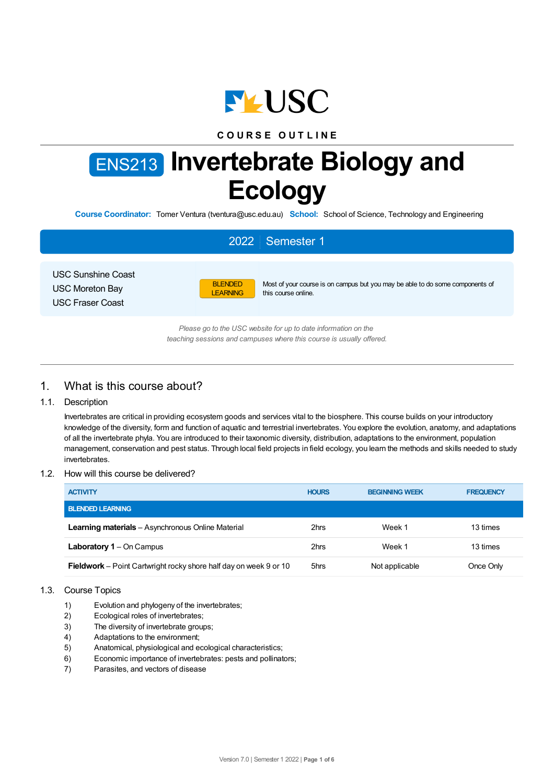

## **C O U R S E O U T L I N E**

# ENS213 **Invertebrate Biology and Ecology**

**Course Coordinator:** Tomer Ventura (tventura@usc.edu.au) **School:** School of Science, Technology and Engineering

# 2022 Semester 1

USC Sunshine Coast USC Moreton Bay USC Fraser Coast



Most of your course is on campus but you may be able to do some components of this course online.

*Please go to the USC website for up to date information on the teaching sessions and campuses where this course is usually offered.*

## 1. What is this course about?

## 1.1. Description

Invertebrates are critical in providing ecosystem goods and services vital to the biosphere. This course builds on your introductory knowledge of the diversity, form and function of aquatic and terrestrial invertebrates. You explore the evolution, anatomy, and adaptations of all the invertebrate phyla. You are introduced to their taxonomic diversity, distribution, adaptations to the environment, population management, conservation and pest status. Through local field projects in field ecology, you learn the methods and skills needed to study invertebrates.

## 1.2. How will this course be delivered?

| <b>ACTIVITY</b>                                                          | <b>HOURS</b> | <b>BEGINNING WEEK</b> | <b>FREQUENCY</b> |
|--------------------------------------------------------------------------|--------------|-----------------------|------------------|
| <b>BLENDED LEARNING</b>                                                  |              |                       |                  |
| <b>Learning materials</b> – Asynchronous Online Material                 | 2hrs         | Week 1                | 13 times         |
| <b>Laboratory 1</b> – On Campus                                          | 2hrs         | Week 1                | 13 times         |
| <b>Fieldwork</b> – Point Cartwright rocky shore half day on week 9 or 10 | 5hrs         | Not applicable        | Once Only        |

## 1.3. Course Topics

- 1) Evolution and phylogeny of the invertebrates;
- 2) Ecological roles of invertebrates;
- 3) The diversity of invertebrate groups;
- 4) Adaptations to the environment;
- 5) Anatomical, physiological and ecological characteristics;
- 6) Economic importance of invertebrates: pests and pollinators;
- 7) Parasites, and vectors of disease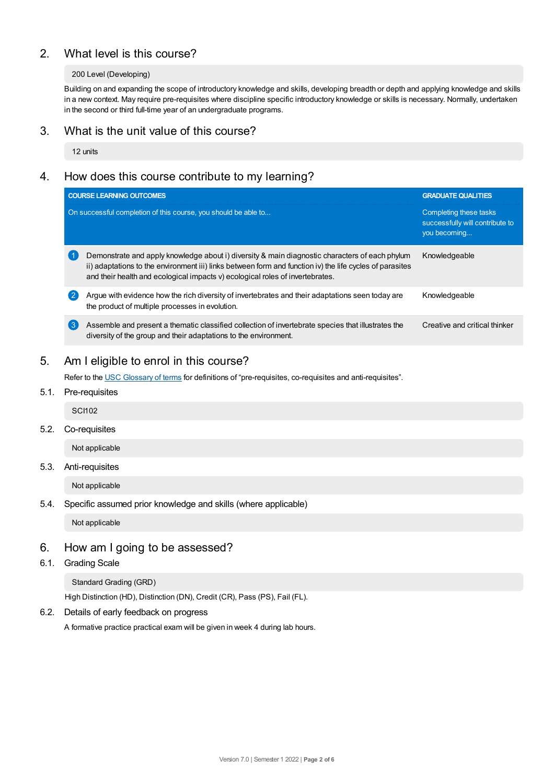# 2. What level is this course?

## 200 Level (Developing)

Building on and expanding the scope of introductory knowledge and skills, developing breadth or depth and applying knowledge and skills in a new context. May require pre-requisites where discipline specific introductory knowledge or skills is necessary. Normally, undertaken in the second or third full-time year of an undergraduate programs.

## 3. What is the unit value of this course?

12 units

## 4. How does this course contribute to my learning?

|   | <b>COURSE LEARNING OUTCOMES</b>                                                                                                                                                                                                                                                             | <b>GRADUATE QUALITIES</b>                                                 |
|---|---------------------------------------------------------------------------------------------------------------------------------------------------------------------------------------------------------------------------------------------------------------------------------------------|---------------------------------------------------------------------------|
|   | On successful completion of this course, you should be able to                                                                                                                                                                                                                              | Completing these tasks<br>successfully will contribute to<br>you becoming |
|   | Demonstrate and apply knowledge about i) diversity & main diagnostic characters of each phylum<br>ii) adaptations to the environment iii) links between form and function iv) the life cycles of parasites<br>and their health and ecological impacts v) ecological roles of invertebrates. | Knowledgeable                                                             |
| 2 | Arque with evidence how the rich diversity of invertebrates and their adaptations seen today are<br>the product of multiple processes in evolution.                                                                                                                                         | Knowledgeable                                                             |
| 3 | Assemble and present a thematic classified collection of invertebrate species that illustrates the<br>diversity of the group and their adaptations to the environment.                                                                                                                      | Creative and critical thinker                                             |

## 5. Am Ieligible to enrol in this course?

Refer to the USC [Glossary](https://www.usc.edu.au/about/policies-and-procedures/glossary-of-terms-for-policy-and-procedures) of terms for definitions of "pre-requisites, co-requisites and anti-requisites".

## 5.1. Pre-requisites

**SCI102** 

5.2. Co-requisites

Not applicable

5.3. Anti-requisites

Not applicable

5.4. Specific assumed prior knowledge and skills (where applicable)

Not applicable

## 6. How am Igoing to be assessed?

6.1. Grading Scale

Standard Grading (GRD)

High Distinction (HD), Distinction (DN), Credit (CR), Pass (PS), Fail (FL).

6.2. Details of early feedback on progress

A formative practice practical exam will be given in week 4 during lab hours.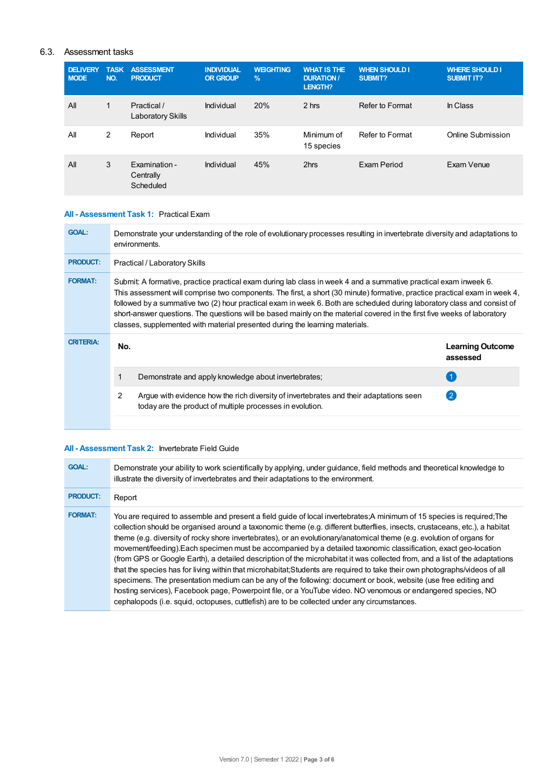## 6.3. Assessment tasks

| <b>DELIVERY</b><br><b>MODE</b> | <b>TASK</b><br>NO. | <b>ASSESSMENT</b><br><b>PRODUCT</b>     | <b>INDIVIDUAL</b><br><b>OR GROUP</b> | <b>WEIGHTING</b><br>$\frac{9}{6}$ | <b>WHAT IS THE</b><br><b>DURATION /</b><br><b>LENGTH?</b> | <b>WHEN SHOULD I</b><br>SUBMIT? | <b>WHERE SHOULD I</b><br><b>SUBMIT IT?</b> |
|--------------------------------|--------------------|-----------------------------------------|--------------------------------------|-----------------------------------|-----------------------------------------------------------|---------------------------------|--------------------------------------------|
| All                            | 1                  | Practical /<br><b>Laboratory Skills</b> | Individual                           | 20%                               | 2 hrs                                                     | Refer to Format                 | In Class                                   |
| All                            | 2                  | Report                                  | Individual                           | 35%                               | Minimum of<br>15 species                                  | Refer to Format                 | Online Submission                          |
| All                            | 3                  | Examination -<br>Centrally<br>Scheduled | Individual                           | 45%                               | 2hrs                                                      | Exam Period                     | Exam Venue                                 |

## **All - Assessment Task 1:** Practical Exam

| <b>GOAL:</b>     | Demonstrate your understanding of the role of evolutionary processes resulting in invertebrate diversity and adaptations to<br>environments.                                                                                                                                                                                                                                                                                                                                                                                                                                           |                                                                                                                                                     |                                     |  |  |
|------------------|----------------------------------------------------------------------------------------------------------------------------------------------------------------------------------------------------------------------------------------------------------------------------------------------------------------------------------------------------------------------------------------------------------------------------------------------------------------------------------------------------------------------------------------------------------------------------------------|-----------------------------------------------------------------------------------------------------------------------------------------------------|-------------------------------------|--|--|
| <b>PRODUCT:</b>  | Practical / Laboratory Skills                                                                                                                                                                                                                                                                                                                                                                                                                                                                                                                                                          |                                                                                                                                                     |                                     |  |  |
| <b>FORMAT:</b>   | Submit: A formative, practice practical exam during lab class in week 4 and a summative practical exam inweek 6.<br>This assessment will comprise two components. The first, a short (30 minute) formative, practice practical exam in week 4,<br>followed by a summative two (2) hour practical exam in week 6. Both are scheduled during laboratory class and consist of<br>short-answer questions. The questions will be based mainly on the material covered in the first five weeks of laboratory<br>classes, supplemented with material presented during the learning materials. |                                                                                                                                                     |                                     |  |  |
| <b>CRITERIA:</b> | No.                                                                                                                                                                                                                                                                                                                                                                                                                                                                                                                                                                                    |                                                                                                                                                     | <b>Learning Outcome</b><br>assessed |  |  |
|                  |                                                                                                                                                                                                                                                                                                                                                                                                                                                                                                                                                                                        | Demonstrate and apply knowledge about invertebrates;                                                                                                |                                     |  |  |
|                  | $\overline{2}$                                                                                                                                                                                                                                                                                                                                                                                                                                                                                                                                                                         | Argue with evidence how the rich diversity of invertebrates and their adaptations seen<br>today are the product of multiple processes in evolution. | $\left( 2\right)$                   |  |  |
|                  |                                                                                                                                                                                                                                                                                                                                                                                                                                                                                                                                                                                        |                                                                                                                                                     |                                     |  |  |

## **All - Assessment Task 2:** Invertebrate Field Guide

| <b>GOAL:</b>    | Demonstrate your ability to work scientifically by applying, under guidance, field methods and theoretical knowledge to<br>illustrate the diversity of invertebrates and their adaptations to the environment.                                                                                                                                                                                                                                                                                                                                                                                                                                                                                                                                                                                                                                                                                                                                                                                                                                                                                       |
|-----------------|------------------------------------------------------------------------------------------------------------------------------------------------------------------------------------------------------------------------------------------------------------------------------------------------------------------------------------------------------------------------------------------------------------------------------------------------------------------------------------------------------------------------------------------------------------------------------------------------------------------------------------------------------------------------------------------------------------------------------------------------------------------------------------------------------------------------------------------------------------------------------------------------------------------------------------------------------------------------------------------------------------------------------------------------------------------------------------------------------|
| <b>PRODUCT:</b> | Report                                                                                                                                                                                                                                                                                                                                                                                                                                                                                                                                                                                                                                                                                                                                                                                                                                                                                                                                                                                                                                                                                               |
| <b>FORMAT:</b>  | You are required to assemble and present a field quide of local invertebrates: A minimum of 15 species is required; The<br>collection should be organised around a taxonomic theme (e.g. different butterflies, insects, crustaceans, etc.), a habitat<br>theme (e.g. diversity of rocky shore invertebrates), or an evolutionary/anatomical theme (e.g. evolution of organs for<br>movement/feeding). Each specimen must be accompanied by a detailed taxonomic classification, exact geo-location<br>(from GPS or Google Earth), a detailed description of the microhabitat it was collected from, and a list of the adaptations<br>that the species has for living within that microhabitat; Students are required to take their own photographs/videos of all<br>specimens. The presentation medium can be any of the following: document or book, website (use free editing and<br>hosting services), Facebook page, Powerpoint file, or a YouTube video. NO venomous or endangered species, NO<br>cephalopods (i.e. squid, octopuses, cuttlefish) are to be collected under any circumstances. |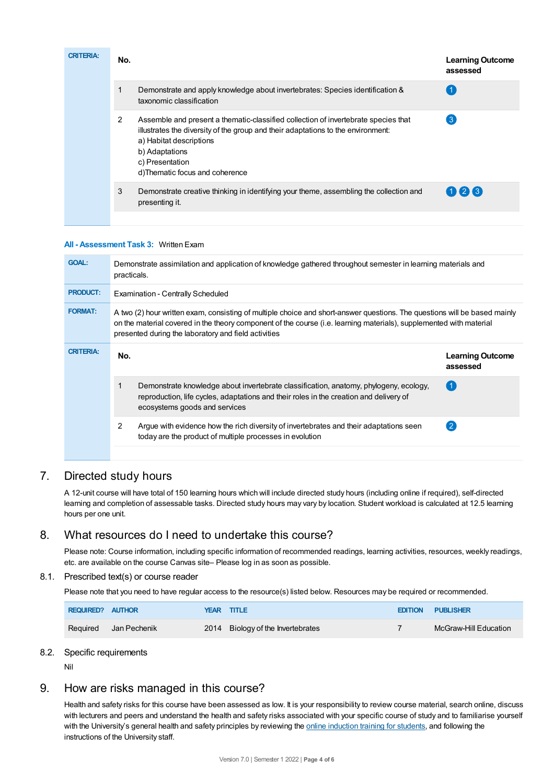| <b>CRITERIA:</b> | No. |                                                                                                                                                                                                                                                                          | <b>Learning Outcome</b><br>assessed |
|------------------|-----|--------------------------------------------------------------------------------------------------------------------------------------------------------------------------------------------------------------------------------------------------------------------------|-------------------------------------|
|                  |     | Demonstrate and apply knowledge about invertebrates: Species identification &<br>taxonomic classification                                                                                                                                                                |                                     |
|                  | 2   | Assemble and present a thematic-classified collection of invertebrate species that<br>illustrates the diversity of the group and their adaptations to the environment:<br>a) Habitat descriptions<br>b) Adaptations<br>c) Presentation<br>d)Thematic focus and coherence | 3                                   |
|                  | 3   | Demonstrate creative thinking in identifying your theme, assembling the collection and<br>presenting it.                                                                                                                                                                 | 026                                 |
|                  |     |                                                                                                                                                                                                                                                                          |                                     |

#### **All - Assessment Task 3:** Written Exam

| <b>GOAL:</b>     | Demonstrate assimilation and application of knowledge gathered throughout semester in learning materials and<br>practicals.                                                                                                                                                                              |                                     |  |  |  |
|------------------|----------------------------------------------------------------------------------------------------------------------------------------------------------------------------------------------------------------------------------------------------------------------------------------------------------|-------------------------------------|--|--|--|
| <b>PRODUCT:</b>  | <b>Examination - Centrally Scheduled</b>                                                                                                                                                                                                                                                                 |                                     |  |  |  |
| <b>FORMAT:</b>   | A two (2) hour written exam, consisting of multiple choice and short-answer questions. The questions will be based mainly<br>on the material covered in the theory component of the course (i.e. learning materials), supplemented with material<br>presented during the laboratory and field activities |                                     |  |  |  |
| <b>CRITERIA:</b> | No.                                                                                                                                                                                                                                                                                                      | <b>Learning Outcome</b><br>assessed |  |  |  |
|                  | Demonstrate knowledge about invertebrate classification, anatomy, phylogeny, ecology,<br>reproduction, life cycles, adaptations and their roles in the creation and delivery of<br>ecosystems goods and services                                                                                         | $\left( 1 \right)$                  |  |  |  |
|                  | 2<br>Argue with evidence how the rich diversity of invertebrates and their adaptations seen<br>today are the product of multiple processes in evolution                                                                                                                                                  | $\overline{2}$                      |  |  |  |
|                  |                                                                                                                                                                                                                                                                                                          |                                     |  |  |  |

## 7. Directed study hours

A 12-unit course will have total of 150 learning hours which will include directed study hours (including online if required), self-directed learning and completion of assessable tasks. Directed study hours may vary by location. Student workload is calculated at 12.5 learning hours per one unit.

## 8. What resources do I need to undertake this course?

Please note: Course information, including specific information of recommended readings, learning activities, resources, weekly readings, etc. are available on the course Canvas site– Please log in as soon as possible.

## 8.1. Prescribed text(s) or course reader

Please note that you need to have regular access to the resource(s) listed below. Resources may be required or recommended.

| REQUIRED? AUTHOR |              | YEAR TITLE                        | <b>EDITION PUBLISHER</b> |
|------------------|--------------|-----------------------------------|--------------------------|
| Reguired         | Jan Pechenik | 2014 Biology of the Invertebrates | McGraw-Hill Education    |

## 8.2. Specific requirements

Nil

## 9. How are risks managed in this course?

Health and safety risks for this course have been assessed as low. It is your responsibility to review course material, search online, discuss with lecturers and peers and understand the health and safety risks associated with your specific course of study and to familiarise yourself with the University's general health and safety principles by reviewing the online [induction](https://online.usc.edu.au/webapps/blackboard/content/listContentEditable.jsp?content_id=_632657_1&course_id=_14432_1) training for students, and following the instructions of the University staff.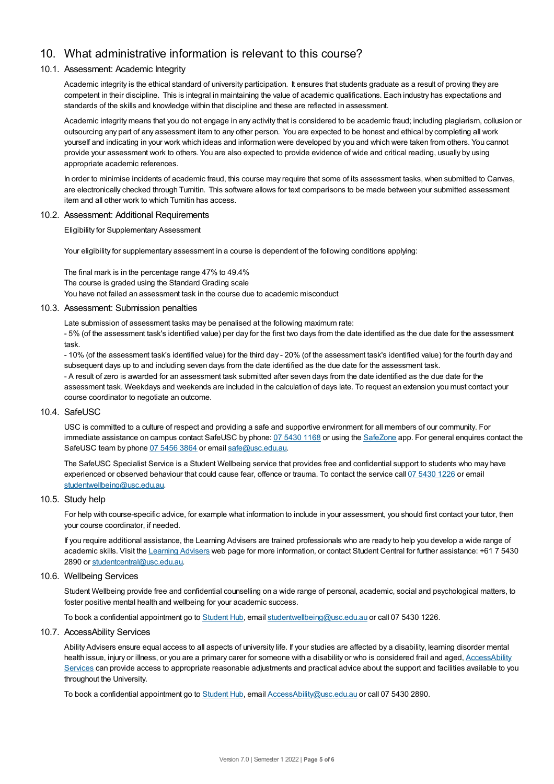# 10. What administrative information is relevant to this course?

## 10.1. Assessment: Academic Integrity

Academic integrity is the ethical standard of university participation. It ensures that students graduate as a result of proving they are competent in their discipline. This is integral in maintaining the value of academic qualifications. Each industry has expectations and standards of the skills and knowledge within that discipline and these are reflected in assessment.

Academic integrity means that you do not engage in any activity that is considered to be academic fraud; including plagiarism, collusion or outsourcing any part of any assessment item to any other person. You are expected to be honest and ethical by completing all work yourself and indicating in your work which ideas and information were developed by you and which were taken from others. You cannot provide your assessment work to others.You are also expected to provide evidence of wide and critical reading, usually by using appropriate academic references.

In order to minimise incidents of academic fraud, this course may require that some of its assessment tasks, when submitted to Canvas, are electronically checked through Turnitin. This software allows for text comparisons to be made between your submitted assessment item and all other work to which Turnitin has access.

#### 10.2. Assessment: Additional Requirements

Eligibility for Supplementary Assessment

Your eligibility for supplementary assessment in a course is dependent of the following conditions applying:

The final mark is in the percentage range 47% to 49.4% The course is graded using the Standard Grading scale You have not failed an assessment task in the course due to academic misconduct

#### 10.3. Assessment: Submission penalties

Late submission of assessment tasks may be penalised at the following maximum rate:

- 5% (of the assessment task's identified value) per day for the first two days from the date identified as the due date for the assessment task.

- 10% (of the assessment task's identified value) for the third day - 20% (of the assessment task's identified value) for the fourth day and subsequent days up to and including seven days from the date identified as the due date for the assessment task. - A result of zero is awarded for an assessment task submitted after seven days from the date identified as the due date for the assessment task. Weekdays and weekends are included in the calculation of days late. To request an extension you must contact your course coordinator to negotiate an outcome.

#### 10.4. SafeUSC

USC is committed to a culture of respect and providing a safe and supportive environment for all members of our community. For immediate assistance on campus contact SafeUSC by phone: 07 [5430](tel:07%205430%201168) 1168 or using the [SafeZone](https://www.safezoneapp.com) app. For general enquires contact the SafeUSC team by phone 07 [5456](tel:07%205456%203864) 3864 or email [safe@usc.edu.au](mailto:safe@usc.edu.au).

The SafeUSC Specialist Service is a Student Wellbeing service that provides free and confidential support to students who may have experienced or observed behaviour that could cause fear, offence or trauma. To contact the service call 07 [5430](tel:07%205430%201226) 1226 or email [studentwellbeing@usc.edu.au](mailto:studentwellbeing@usc.edu.au).

#### 10.5. Study help

For help with course-specific advice, for example what information to include in your assessment, you should first contact your tutor, then your course coordinator, if needed.

If you require additional assistance, the Learning Advisers are trained professionals who are ready to help you develop a wide range of academic skills. Visit the Learning [Advisers](https://www.usc.edu.au/current-students/student-support/academic-and-study-support/learning-advisers) web page for more information, or contact Student Central for further assistance: +61 7 5430 2890 or [studentcentral@usc.edu.au](mailto:studentcentral@usc.edu.au).

## 10.6. Wellbeing Services

Student Wellbeing provide free and confidential counselling on a wide range of personal, academic, social and psychological matters, to foster positive mental health and wellbeing for your academic success.

To book a confidential appointment go to [Student](https://studenthub.usc.edu.au/) Hub, email [studentwellbeing@usc.edu.au](mailto:studentwellbeing@usc.edu.au) or call 07 5430 1226.

#### 10.7. AccessAbility Services

Ability Advisers ensure equal access to all aspects of university life. If your studies are affected by a disability, learning disorder mental health issue, injury or illness, or you are a primary carer for someone with a disability or who is considered frail and aged, [AccessAbility](https://www.usc.edu.au/learn/student-support/accessability-services/documentation-requirements) Services can provide access to appropriate reasonable adjustments and practical advice about the support and facilities available to you throughout the University.

To book a confidential appointment go to [Student](https://studenthub.usc.edu.au/) Hub, email [AccessAbility@usc.edu.au](mailto:AccessAbility@usc.edu.au) or call 07 5430 2890.